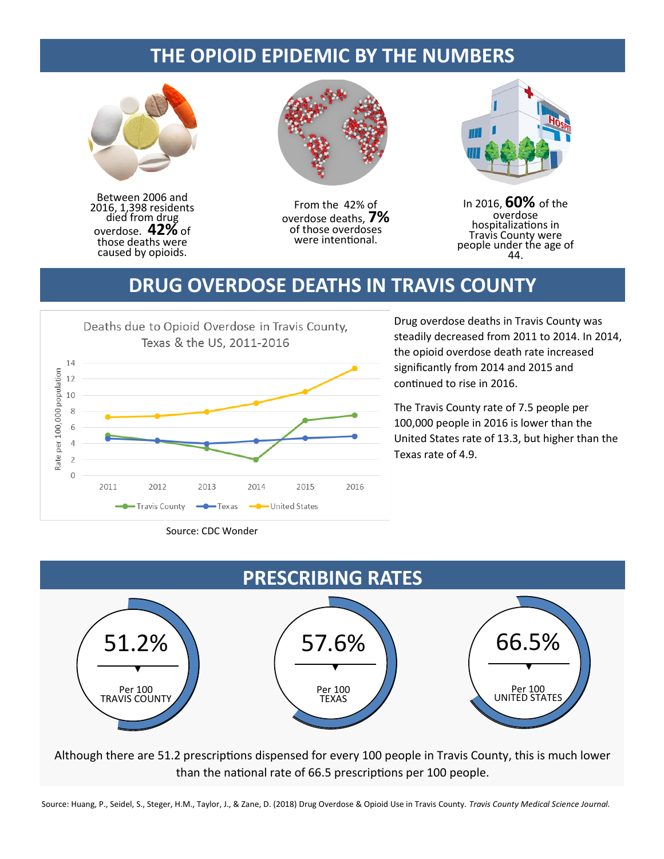## **THE OPIOID EPIDEMIC BY THE NUMBERS**



Between 2006 and 2016, 1,398 residents died from drug overdose. **42%** of those deaths were caused by opioids.



From the 42% of overdose deaths, **7%** of those overdoses were intentional.



In 2016, **60%** of the overdose hospitalizations in Travis County were people under the age of 44.

## **DRUG OVERDOSE DEATHS IN TRAVIS COUNTY**



Drug overdose deaths in Travis County was steadily decreased from 2011 to 2014. In 2014, the opioid overdose death rate increased significantly from 2014 and 2015 and continued to rise in 2016.

The Travis County rate of 7.5 people per 100,000 people in 2016 is lower than the United States rate of 13.3, but higher than the Texas rate of 4.9.



Although there are 51.2 prescriptions dispensed for every 100 people in Travis County, this is much lower than the national rate of 66.5 prescriptions per 100 people.